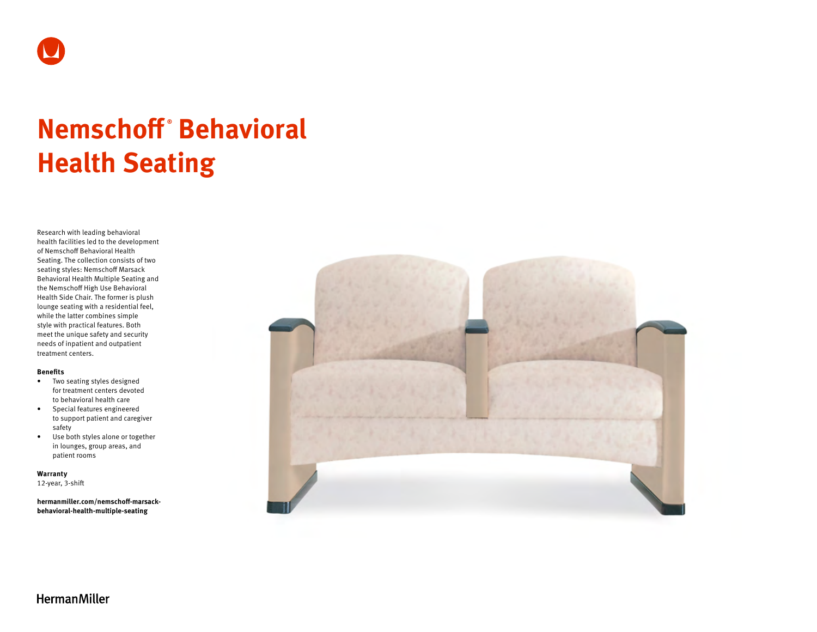

# **Nemschoff ® Behavioral Health Seating**

Research with leading behavioral health facilities led to the development of Nemschoff Behavioral Health Seating. The collection consists of two seating styles: Nemschoff Marsack Behavioral Health Multiple Seating and the Nemschoff High Use Behavioral Health Side Chair. The former is plush lounge seating with a residential feel, while the latter combines simple style with practical features. Both meet the unique safety and security needs of inpatient and outpatient treatment centers.

### **Benefits**

- Two seating styles designed for treatment centers devoted to behavioral health care
- Special features engineered to support patient and caregiver safety
- Use both styles alone or together in lounges, group areas, and patient rooms

**Warranty**  12-year, 3-shift

**[hermanmiller.com/nemschoff-marsack](http://hermanmiller.com/nemschoff-marsack-behavioral-health-multiple-seating)[behavioral-health-multiple-seating](http://hermanmiller.com/nemschoff-marsack-behavioral-health-multiple-seating)**



**HermanMiller**